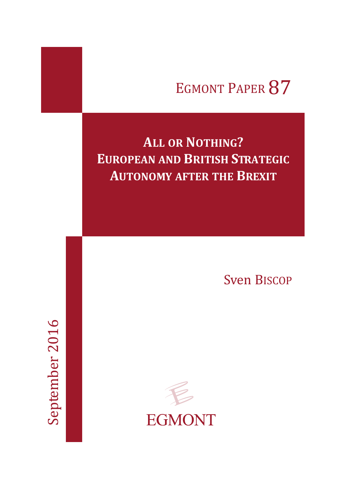EGMONT PAPER 87

# **ALL OR NOTHING? EUROPEAN AND BRITISH STRATEGIC AUTONOMY AFTER THE BREXIT**





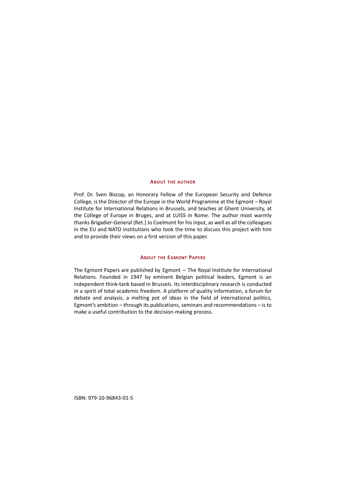#### **ABOUT THE AUTHOR**

Prof. Dr. Sven Biscop, an Honorary Fellow of the European Security and Defence College, is the Director of the Europe in the World Programme at the Egmont – Royal Institute for International Relations in Brussels, and teaches at Ghent University, at the College of Europe in Bruges, and at LUISS in Rome. The author most warmly thanks Brigadier-General (Ret.) Jo Coelmont for his input, as well as all the colleagues in the EU and NATO institutions who took the time to discuss this project with him and to provide their views on a first version of this paper.

#### **ABOUT THE EGMONT PAPERS**

Relations. Founded in 1947 by eminent Belgian political leaders, Egmont is an independent think-tank based in Brussels. Its interdisciplinary research is conducted in a spirit of total academic freedom. A platform of quality information, a forum for debate and analysis, a melting pot of ideas in the field of international politics, Egmont's ambition – through its publications, seminars and recommendations – is to make a useful contribution to the decision-making process. The Egmont Papers are published by Egmont – The Royal Institute for International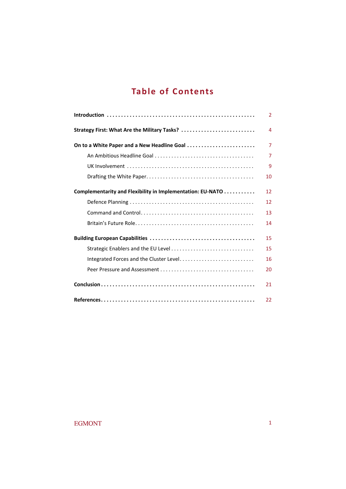# **Table of Contents**

|                                                            | 2              |
|------------------------------------------------------------|----------------|
| Strategy First: What Are the Military Tasks?               | $\overline{4}$ |
| On to a White Paper and a New Headline Goal                | $\overline{7}$ |
|                                                            | $\overline{7}$ |
|                                                            | 9              |
|                                                            | 10             |
| Complementarity and Flexibility in Implementation: EU-NATO | 12             |
|                                                            | 12             |
|                                                            | 13             |
|                                                            | 14             |
|                                                            | 15             |
|                                                            | 15             |
| Integrated Forces and the Cluster Level                    | 16             |
|                                                            | 20             |
|                                                            | 21             |
|                                                            | 22             |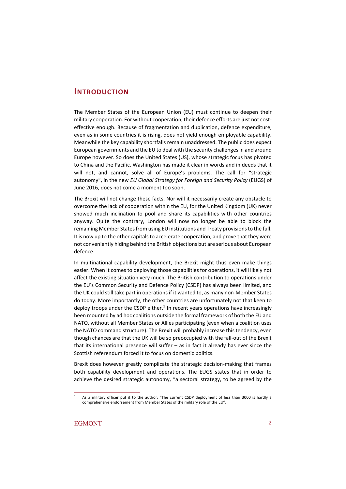### <span id="page-3-0"></span>**INTRODUCTION**

The Member States of the European Union (EU) must continue to deepen their military cooperation. For without cooperation, their defence efforts are just not costeffective enough. Because of fragmentation and duplication, defence expenditure, even as in some countries it is rising, does not yield enough employable capability. Meanwhile the key capability shortfalls remain unaddressed. The public does expect European governments and the EU to deal with the security challenges in and around Europe however. So does the United States (US), whose strategic focus has pivoted to China and the Pacific. Washington has made it clear in words and in deeds that it will not, and cannot, solve all of Europe's problems. The call for "strategic autonomy", in the new *EU Global Strategy for Foreign and Security Policy* (EUGS) of June 2016, does not come a moment too soon.

The Brexit will not change these facts. Nor will it necessarily create any obstacle to overcome the lack of cooperation within the EU, for the United Kingdom (UK) never showed much inclination to pool and share its capabilities with other countries anyway. Quite the contrary, London will now no longer be able to block the remaining Member States from using EU institutions and Treaty provisions to the full. It is now up to the other capitals to accelerate cooperation, and prove that they were not conveniently hiding behind the British objections but are serious about European defence.

In multinational capability development, the Brexit might thus even make things easier. When it comes to deploying those capabilities for operations, it will likely not affect the existing situation very much. The British contribution to operations under the EU's Common Security and Defence Policy (CSDP) has always been limited, and the UK could still take part in operations if it wanted to, as many non-Member States do today. More importantly, the other countries are unfortunately not that keen to deploy troops under the CSDP either.<sup>1</sup> In recent years operations have increasingly been mounted by ad hoc coalitions outside the formal framework of both the EU and NATO, without all Member States or Allies participating (even when a coalition uses the NATO command structure). The Brexit will probably increase this tendency, even though chances are that the UK will be so preoccupied with the fall-out of the Brexit that its international presence will suffer – as in fact it already has ever since the Scottish referendum forced it to focus on domestic politics.

Brexit does however greatly complicate the strategic decision-making that frames both capability development and operations. The EUGS states that in order to achieve the desired strategic autonomy, "a sectoral strategy, to be agreed by the

<sup>1</sup> As a military officer put it to the author: "The current CSDP deployment of less than 3000 is hardly a comprehensive endorsement from Member States of the military role of the EU".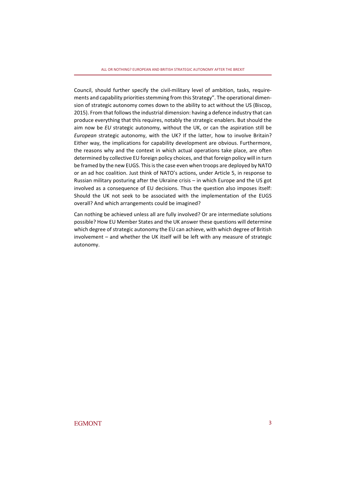Council, should further specify the civil-military level of ambition, tasks, requirements and capability priorities stemming from this Strategy". The operational dimension of strategic autonomy comes down to the ability to act without the US (Biscop, 2015). From that follows the industrial dimension: having a defence industry that can produce everything that this requires, notably the strategic enablers. But should the aim now be *EU* strategic autonomy, without the UK, or can the aspiration still be *European* strategic autonomy, with the UK? If the latter, how to involve Britain? Either way, the implications for capability development are obvious. Furthermore, the reasons why and the context in which actual operations take place, are often determined by collective EU foreign policy choices, and that foreign policy will in turn be framed by the new EUGS. This is the case even when troops are deployed by NATO or an ad hoc coalition. Just think of NATO's actions, under Article 5, in response to Russian military posturing after the Ukraine crisis – in which Europe and the US got involved as a consequence of EU decisions. Thus the question also imposes itself: Should the UK not seek to be associated with the implementation of the EUGS overall? And which arrangements could be imagined?

Can nothing be achieved unless all are fully involved? Or are intermediate solutions possible? How EU Member States and the UK answer these questions will determine which degree of strategic autonomy the EU can achieve, with which degree of British involvement – and whether the UK itself will be left with any measure of strategic autonomy.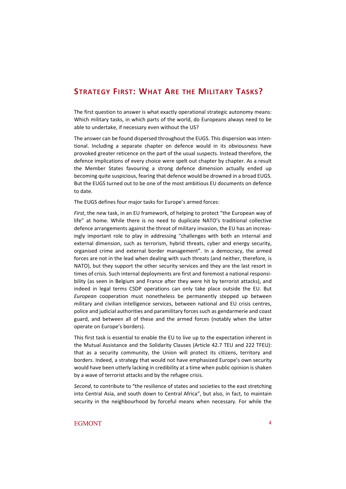### <span id="page-5-0"></span>**STRATEGY FIRST: WHAT ARE THE MILITARY TASKS?**

The first question to answer is what exactly operational strategic autonomy means: Which military tasks, in which parts of the world, do Europeans always need to be able to undertake, if necessary even without the US?

The answer can be found dispersed throughout the EUGS. This dispersion was intentional. Including a separate chapter on defence would in its obviousness have provoked greater reticence on the part of the usual suspects. Instead therefore, the defence implications of every choice were spelt out chapter by chapter. As a result the Member States favouring a strong defence dimension actually ended up becoming quite suspicious, fearing that defence would be drowned in a broad EUGS. But the EUGS turned out to be one of the most ambitious EU documents on defence to date.

The EUGS defines four major tasks for Europe's armed forces:

*First*, the new task, in an EU framework, of helping to protect "the European way of life" at home. While there is no need to duplicate NATO's traditional collective defence arrangements against the threat of military invasion, the EU has an increasingly important role to play in addressing "challenges with both an internal and external dimension, such as terrorism, hybrid threats, cyber and energy security, organised crime and external border management". In a democracy, the armed forces are not in the lead when dealing with such threats (and neither, therefore, is NATO), but they support the other security services and they are the last resort in times of crisis. Such internal deployments are first and foremost a national responsibility (as seen in Belgium and France after they were hit by terrorist attacks), and indeed in legal terms CSDP operations can only take place outside the EU. But *European* cooperation must nonetheless be permanently stepped up between military and civilian intelligence services, between national and EU crisis centres, police and judicial authorities and paramilitary forces such as gendarmerie and coast guard, and between all of these and the armed forces (notably when the latter operate on Europe's borders).

This first task is essential to enable the EU to live up to the expectation inherent in the Mutual Assistance and the Solidarity Clauses (Article 42.7 TEU and 222 TFEU): that as a security community, the Union will protect its citizens, territory and borders. Indeed, a strategy that would not have emphasized Europe's own security would have been utterly lacking in credibility at a time when public opinion is shaken by a wave of terrorist attacks and by the refugee crisis.

*Second*, to contribute to "the resilience of states and societies to the east stretching into Central Asia, and south down to Central Africa", but also, in fact, to maintain security in the neighbourhood by forceful means when necessary. For while the

### **EGMONT**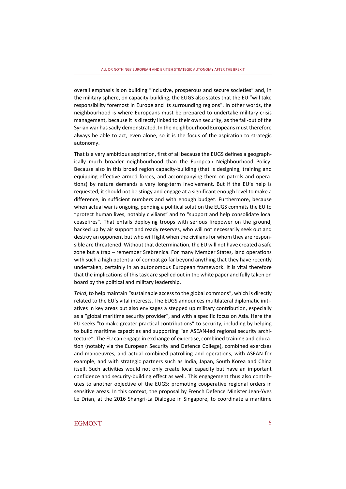overall emphasis is on building "inclusive, prosperous and secure societies" and, in the military sphere, on capacity-building, the EUGS also states that the EU "will take responsibility foremost in Europe and its surrounding regions". In other words, the neighbourhood is where Europeans must be prepared to undertake military crisis management, because it is directly linked to their own security, as the fall-out of the Syrian war has sadly demonstrated. In the neighbourhood Europeans must therefore always be able to act, even alone, so it is the focus of the aspiration to strategic autonomy.

That is a very ambitious aspiration, first of all because the EUGS defines a geographically much broader neighbourhood than the European Neighbourhood Policy. Because also in this broad region capacity-building (that is designing, training and equipping effective armed forces, and accompanying them on patrols and operations) by nature demands a very long-term involvement. But if the EU's help is requested, it should not be stingy and engage at a significant enough level to make a difference, in sufficient numbers and with enough budget. Furthermore, because when actual war is ongoing, pending a political solution the EUGS commits the EU to "protect human lives, notably civilians" and to "support and help consolidate local ceasefires". That entails deploying troops with serious firepower on the ground, backed up by air support and ready reserves, who will not necessarily seek out and destroy an opponent but who will fight when the civilians for whom they are responsible are threatened. Without that determination, the EU will not have created a safe zone but a trap – remember Srebrenica. For many Member States, land operations with such a high potential of combat go far beyond anything that they have recently undertaken, certainly in an autonomous European framework. It is vital therefore that the implications of this task are spelled out in the white paper and fully taken on board by the political and military leadership.

*Third*, to help maintain "sustainable access to the global commons", which is directly related to the EU's vital interests. The EUGS announces multilateral diplomatic initiatives in key areas but also envisages a stepped up military contribution, especially as a "global maritime security provider", and with a specific focus on Asia. Here the EU seeks "to make greater practical contributions" to security, including by helping to build maritime capacities and supporting "an ASEAN-led regional security architecture". The EU can engage in exchange of expertise, combined training and education (notably via the European Security and Defence College), combined exercises and manoeuvres, and actual combined patrolling and operations, with ASEAN for example, and with strategic partners such as India, Japan, South Korea and China itself. Such activities would not only create local capacity but have an important confidence and security-building effect as well. This engagement thus also contributes to another objective of the EUGS: promoting cooperative regional orders in sensitive areas. In this context, the proposal by French Defence Minister Jean-Yves Le Drian, at the 2016 Shangri-La Dialogue in Singapore, to coordinate a maritime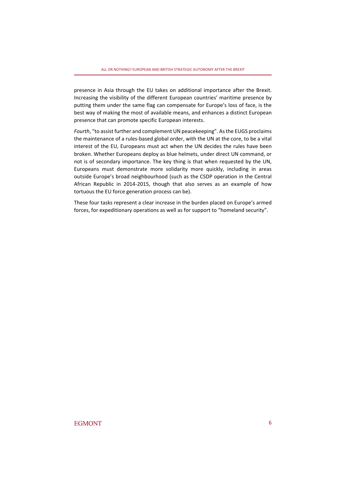presence in Asia through the EU takes on additional importance after the Brexit. Increasing the visibility of the different European countries' maritime presence by putting them under the same flag can compensate for Europe's loss of face, is the best way of making the most of available means, and enhances a distinct European presence that can promote specific European interests.

*Fourth*, "to assist further and complement UN peacekeeping". As the EUGS proclaims the maintenance of a rules-based global order, with the UN at the core, to be a vital interest of the EU, Europeans must act when the UN decides the rules have been broken. Whether Europeans deploy as blue helmets, under direct UN command, or not is of secondary importance. The key thing is that when requested by the UN, Europeans must demonstrate more solidarity more quickly, including in areas outside Europe's broad neighbourhood (such as the CSDP operation in the Central African Republic in 2014-2015, though that also serves as an example of how tortuous the EU force generation process can be).

These four tasks represent a clear increase in the burden placed on Europe's armed forces, for expeditionary operations as well as for support to "homeland security".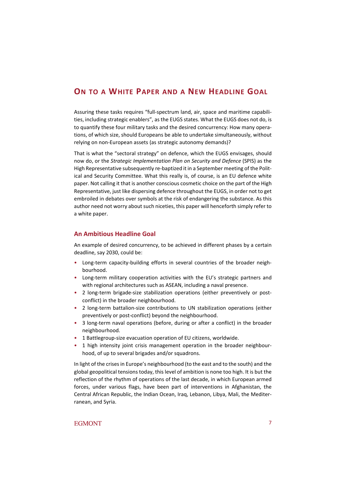### <span id="page-8-0"></span>**ON TO A WHITE PAPER AND A NEW HEADLINE GOAL**

Assuring these tasks requires "full-spectrum land, air, space and maritime capabilities, including strategic enablers", as the EUGS states. What the EUGS does not do, is to quantify these four military tasks and the desired concurrency: How many operations, of which size, should Europeans be able to undertake simultaneously, without relying on non-European assets (as strategic autonomy demands)?

That is what the "sectoral strategy" on defence, which the EUGS envisages, should now do, or the *Strategic Implementation Plan on Security and Defence* (SPIS) as the High Representative subsequently re-baptized it in a September meeting of the Political and Security Committee. What this really is, of course, is an EU defence white paper. Not calling it that is another conscious cosmetic choice on the part of the High Representative, just like dispersing defence throughout the EUGS, in order not to get embroiled in debates over symbols at the risk of endangering the substance. As this author need not worry about such niceties, this paper will henceforth simply refer to a white paper.

### <span id="page-8-1"></span>**An Ambitious Headline Goal**

An example of desired concurrency, to be achieved in different phases by a certain deadline, say 2030, could be:

- Long-term capacity-building efforts in several countries of the broader neighbourhood.
- Long-term military cooperation activities with the EU's strategic partners and with regional architectures such as ASEAN, including a naval presence.
- 2 long-term brigade-size stabilization operations (either preventively or postconflict) in the broader neighbourhood.
- 2 long-term battalion-size contributions to UN stabilization operations (either preventively or post-conflict) beyond the neighbourhood.
- 3 long-term naval operations (before, during or after a conflict) in the broader neighbourhood.
- 1 Battlegroup-size evacuation operation of EU citizens, worldwide.
- 1 high intensity joint crisis management operation in the broader neighbourhood, of up to several brigades and/or squadrons.

In light of the crises in Europe's neighbourhood (to the east and to the south) and the global geopolitical tensions today, this level of ambition is none too high. It is but the reflection of the rhythm of operations of the last decade, in which European armed forces, under various flags, have been part of interventions in Afghanistan, the Central African Republic, the Indian Ocean, Iraq, Lebanon, Libya, Mali, the Mediterranean, and Syria.

### **EGMONT**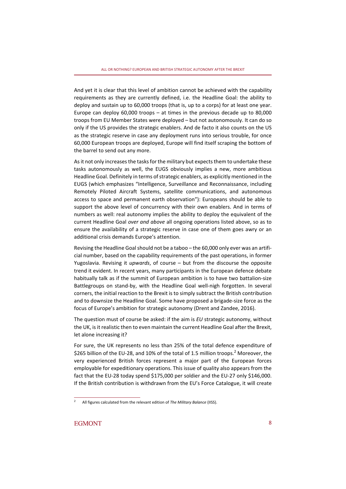And yet it is clear that this level of ambition cannot be achieved with the capability requirements as they are currently defined, i.e. the Headline Goal: the ability to deploy and sustain up to 60,000 troops (that is, up to a corps) for at least one year. Europe can deploy 60,000 troops – at times in the previous decade up to 80,000 troops from EU Member States were deployed – but not autonomously. It can do so only if the US provides the strategic enablers. And de facto it also counts on the US as the strategic reserve in case any deployment runs into serious trouble, for once 60,000 European troops are deployed, Europe will find itself scraping the bottom of the barrel to send out any more.

As it not only increases the tasks for the military but expects them to undertake these tasks autonomously as well, the EUGS obviously implies a new, more ambitious Headline Goal. Definitely in terms of strategic enablers, as explicitly mentioned in the EUGS (which emphasizes "Intelligence, Surveillance and Reconnaissance, including Remotely Piloted Aircraft Systems, satellite communications, and autonomous access to space and permanent earth observation"): Europeans should be able to support the above level of concurrency with their own enablers. And in terms of numbers as well: real autonomy implies the ability to deploy the equivalent of the current Headline Goal *over and above* all ongoing operations listed above, so as to ensure the availability of a strategic reserve in case one of them goes awry or an additional crisis demands Europe's attention.

Revising the Headline Goal should not be a taboo – the 60,000 only ever was an artificial number, based on the capability requirements of the past operations, in former Yugoslavia. Revising it *upwards*, of course – but from the discourse the opposite trend it evident. In recent years, many participants in the European defence debate habitually talk as if the summit of European ambition is to have two battalion-size Battlegroups on stand-by, with the Headline Goal well-nigh forgotten. In several corners, the initial reaction to the Brexit is to simply subtract the British contribution and to downsize the Headline Goal. Some have proposed a brigade-size force as the focus of Europe's ambition for strategic autonomy (Drent and Zandee, 2016).

The question must of course be asked: if the aim is *EU* strategic autonomy, without the UK, is it realistic then to even maintain the current Headline Goal after the Brexit, let alone increasing it?

For sure, the UK represents no less than 25% of the total defence expenditure of \$265 billion of the EU-28, and 10% of the total of 1.5 million troops.<sup>2</sup> Moreover, the very experienced British forces represent a major part of the European forces employable for expeditionary operations. This issue of quality also appears from the fact that the EU-28 today spend \$175,000 per soldier and the EU-27 only \$146,000. If the British contribution is withdrawn from the EU's Force Catalogue, it will create

<sup>2</sup> All figures calculated from the relevant edition of *The Military Balance* (IISS).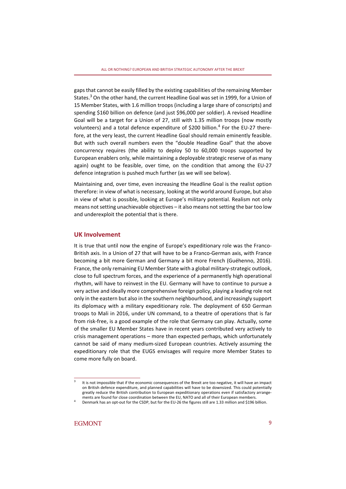gaps that cannot be easily filled by the existing capabilities of the remaining Member States.<sup>3</sup> On the other hand, the current Headline Goal was set in 1999, for a Union of 15 Member States, with 1.6 million troops (including a large share of conscripts) and spending \$160 billion on defence (and just \$96,000 per soldier). A revised Headline Goal will be a target for a Union of 27, still with 1.35 million troops (now mostly volunteers) and a total defence expenditure of \$200 billion.<sup>4</sup> For the EU-27 therefore, at the very least, the current Headline Goal should remain eminently feasible. But with such overall numbers even the "double Headline Goal" that the above concurrency requires (the ability to deploy 50 to 60,000 troops supported by European enablers only, while maintaining a deployable strategic reserve of as many again) ought to be feasible, over time, on the condition that among the EU-27 defence integration is pushed much further (as we will see below).

Maintaining and, over time, even increasing the Headline Goal is the realist option therefore: in view of what is necessary, looking at the world around Europe, but also in view of what is possible, looking at Europe's military potential. Realism not only means not setting unachievable objectives – it also means not setting the bar too low and underexploit the potential that is there.

#### <span id="page-10-0"></span>**UK Involvement**

It is true that until now the engine of Europe's expeditionary role was the Franco-British axis. In a Union of 27 that will have to be a Franco-German axis, with France becoming a bit more German and Germany a bit more French (Guéhenno, 2016). France, the only remaining EU Member State with a global military-strategic outlook, close to full spectrum forces, and the experience of a permanently high operational rhythm, will have to reinvest in the EU. Germany will have to continue to pursue a very active and ideally more comprehensive foreign policy, playing a leading role not only in the eastern but also in the southern neighbourhood, and increasingly support its diplomacy with a military expeditionary role. The deployment of 650 German troops to Mali in 2016, under UN command, to a theatre of operations that is far from risk-free, is a good example of the role that Germany can play. Actually, some of the smaller EU Member States have in recent years contributed very actively to crisis management operations – more than expected perhaps, which unfortunately cannot be said of many medium-sized European countries. Actively assuming the expeditionary role that the EUGS envisages will require more Member States to come more fully on board.

 $3$  It is not impossible that if the economic consequences of the Brexit are too negative, it will have an impact on British defence expenditure, and planned capabilities will have to be downsized. This could potentially greatly reduce the British contribution to European expeditionary operations even if satisfactory arrange-<br>ments are found for close coordination between the EU, NATO and all of their European members.

<sup>&</sup>lt;sup>4</sup> Denmark has an opt-out for the CSDP, but for the EU-26 the figures still are 1.33 million and \$196 billion.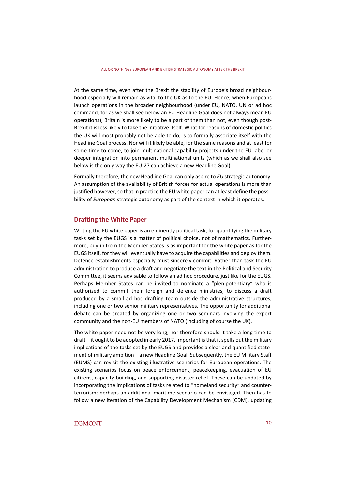At the same time, even after the Brexit the stability of Europe's broad neighbourhood especially will remain as vital to the UK as to the EU. Hence, when Europeans launch operations in the broader neighbourhood (under EU, NATO, UN or ad hoc command, for as we shall see below an EU Headline Goal does not always mean EU operations), Britain is more likely to be a part of them than not, even though post-Brexit it is less likely to take the initiative itself. What for reasons of domestic politics the UK will most probably not be able to do, is to formally associate itself with the Headline Goal process. Nor will it likely be able, for the same reasons and at least for some time to come, to join multinational capability projects under the EU-label or deeper integration into permanent multinational units (which as we shall also see below is the only way the EU-27 can achieve a new Headline Goal).

Formally therefore, the new Headline Goal can only aspire to *EU* strategic autonomy. An assumption of the availability of British forces for actual operations is more than justified however, so that in practice the EU white paper can at least define the possibility of *European* strategic autonomy as part of the context in which it operates.

### <span id="page-11-0"></span>**Drafting the White Paper**

Writing the EU white paper is an eminently political task, for quantifying the military tasks set by the EUGS is a matter of political choice, not of mathematics. Furthermore, buy-in from the Member States is as important for the white paper as for the EUGS itself, for they will eventually have to acquire the capabilities and deploy them. Defence establishments especially must sincerely commit. Rather than task the EU administration to produce a draft and negotiate the text in the Political and Security Committee, it seems advisable to follow an ad hoc procedure, just like for the EUGS. Perhaps Member States can be invited to nominate a "plenipotentiary" who is authorized to commit their foreign and defence ministries, to discuss a draft produced by a small ad hoc drafting team outside the administrative structures, including one or two senior military representatives. The opportunity for additional debate can be created by organizing one or two seminars involving the expert community and the non-EU members of NATO (including of course the UK).

The white paper need not be very long, nor therefore should it take a long time to draft – it ought to be adopted in early 2017. Important is that it spells out the military implications of the tasks set by the EUGS and provides a clear and quantified statement of military ambition – a new Headline Goal. Subsequently, the EU Military Staff (EUMS) can revisit the existing illustrative scenarios for European operations. The existing scenarios focus on peace enforcement, peacekeeping, evacuation of EU citizens, capacity-building, and supporting disaster relief. These can be updated by incorporating the implications of tasks related to "homeland security" and counterterrorism; perhaps an additional maritime scenario can be envisaged. Then has to follow a new iteration of the Capability Development Mechanism (CDM), updating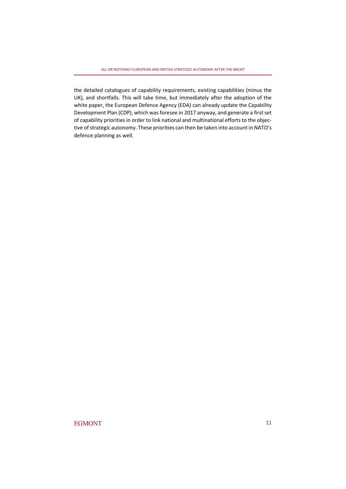the detailed catalogues of capability requirements, existing capabilities (minus the UK), and shortfalls. This will take time, but immediately after the adoption of the white paper, the European Defence Agency (EDA) can already update the Capability Development Plan (CDP), which was foresee in 2017 anyway, and generate a first set of capability priorities in order to link national and multinational efforts to the objective of strategic autonomy. These priorities can then be taken into account in NATO's defence planning as well.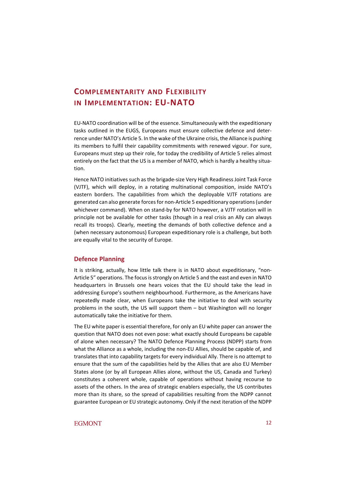## <span id="page-13-0"></span>**COMPLEMENTARITY AND FLEXIBILITY IN IMPLEMENTATION: EU-NATO**

EU-NATO coordination will be of the essence. Simultaneously with the expeditionary tasks outlined in the EUGS, Europeans must ensure collective defence and deterrence under NATO's Article 5. In the wake of the Ukraine crisis, the Alliance is pushing its members to fulfil their capability commitments with renewed vigour. For sure, Europeans must step up their role, for today the credibility of Article 5 relies almost entirely on the fact that the US is a member of NATO, which is hardly a healthy situation.

Hence NATO initiatives such as the brigade-size Very High Readiness Joint Task Force (VJTF), which will deploy, in a rotating multinational composition, inside NATO's eastern borders. The capabilities from which the deployable VJTF rotations are generated can also generate forces for non-Article 5 expeditionary operations (under whichever command). When on stand-by for NATO however, a VJTF rotation will in principle not be available for other tasks (though in a real crisis an Ally can always recall its troops). Clearly, meeting the demands of both collective defence and a (when necessary autonomous) European expeditionary role is a challenge, but both are equally vital to the security of Europe.

### <span id="page-13-1"></span>**Defence Planning**

It is striking, actually, how little talk there is in NATO about expeditionary, "non-Article 5" operations. The focus is strongly on Article 5 and the east and even in NATO headquarters in Brussels one hears voices that the EU should take the lead in addressing Europe's southern neighbourhood. Furthermore, as the Americans have repeatedly made clear, when Europeans take the initiative to deal with security problems in the south, the US will support them – but Washington will no longer automatically take the initiative for them.

The EU white paper is essential therefore, for only an EU white paper can answer the question that NATO does not even pose: what exactly should Europeans be capable of alone when necessary? The NATO Defence Planning Process (NDPP) starts from what the Alliance as a whole, including the non-EU Allies, should be capable of, and translates that into capability targets for every individual Ally. There is no attempt to ensure that the sum of the capabilities held by the Allies that are also EU Member States alone (or by all European Allies alone, without the US, Canada and Turkey) constitutes a coherent whole, capable of operations without having recourse to assets of the others. In the area of strategic enablers especially, the US contributes more than its share, so the spread of capabilities resulting from the NDPP cannot guarantee European or EU strategic autonomy. Only if the next iteration of the NDPP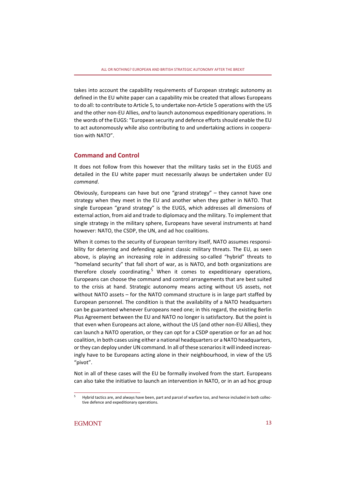takes into account the capability requirements of European strategic autonomy as defined in the EU white paper can a capability mix be created that allows Europeans to do all: to contribute to Article 5, to undertake non-Article 5 operations with the US and the other non-EU Allies, *and* to launch autonomous expeditionary operations. In the words of the EUGS: "European security and defence efforts should enable the EU to act autonomously while also contributing to and undertaking actions in cooperation with NATO".

### <span id="page-14-0"></span>**Command and Control**

It does not follow from this however that the military tasks set in the EUGS and detailed in the EU white paper must necessarily always be undertaken under EU *command*.

Obviously, Europeans can have but one "grand strategy" – they cannot have one strategy when they meet in the EU and another when they gather in NATO. That single European "grand strategy" is the EUGS, which addresses all dimensions of external action, from aid and trade to diplomacy and the military. To implement that single strategy in the military sphere, Europeans have several instruments at hand however: NATO, the CSDP, the UN, and ad hoc coalitions.

When it comes to the security of European territory itself, NATO assumes responsibility for deterring and defending against classic military threats. The EU, as seen above, is playing an increasing role in addressing so-called "hybrid" threats to "homeland security" that fall short of war, as is NATO, and both organizations are therefore closely coordinating.<sup>5</sup> When it comes to expeditionary operations, Europeans can choose the command and control arrangements that are best suited to the crisis at hand. Strategic autonomy means acting without US assets, not without NATO assets – for the NATO command structure is in large part staffed by European personnel. The condition is that the availability of a NATO headquarters can be guaranteed whenever Europeans need one; in this regard, the existing Berlin Plus Agreement between the EU and NATO no longer is satisfactory. But the point is that even when Europeans act alone, without the US (and other non-EU Allies), they can launch a NATO operation, or they can opt for a CSDP operation or for an ad hoc coalition, in both cases using either a national headquarters or a NATO headquarters, or they can deploy under UN command. In all of these scenarios it will indeed increasingly have to be Europeans acting alone in their neighbourhood, in view of the US "pivot".

Not in all of these cases will the EU be formally involved from the start. Europeans can also take the initiative to launch an intervention in NATO, or in an ad hoc group

<sup>&</sup>lt;sup>5</sup> Hybrid tactics are, and always have been, part and parcel of warfare too, and hence included in both collective defence and expeditionary operations.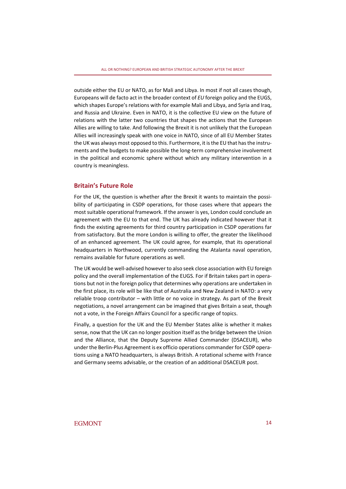outside either the EU or NATO, as for Mali and Libya. In most if not all cases though, Europeans will de facto act in the broader context of *EU* foreign policy and the EUGS, which shapes Europe's relations with for example Mali and Libya, and Syria and Iraq, and Russia and Ukraine. Even in NATO, it is the collective EU view on the future of relations with the latter two countries that shapes the actions that the European Allies are willing to take. And following the Brexit it is not unlikely that the European Allies will increasingly speak with one voice in NATO, since of all EU Member States the UK was always most opposed to this. Furthermore, it is the EU that has the instruments and the budgets to make possible the long-term comprehensive involvement in the political and economic sphere without which any military intervention in a country is meaningless.

#### <span id="page-15-0"></span>**Britain's Future Role**

For the UK, the question is whether after the Brexit it wants to maintain the possibility of participating in CSDP operations, for those cases where that appears the most suitable operational framework. If the answer is yes, London could conclude an agreement with the EU to that end. The UK has already indicated however that it finds the existing agreements for third country participation in CSDP operations far from satisfactory. But the more London is willing to offer, the greater the likelihood of an enhanced agreement. The UK could agree, for example, that its operational headquarters in Northwood, currently commanding the Atalanta naval operation, remains available for future operations as well.

The UK would be well-advised however to also seek close association with EU foreign policy and the overall implementation of the EUGS. For if Britain takes part in operations but not in the foreign policy that determines why operations are undertaken in the first place, its role will be like that of Australia and New Zealand in NATO: a very reliable troop contributor – with little or no voice in strategy. As part of the Brexit negotiations, a novel arrangement can be imagined that gives Britain a seat, though not a vote, in the Foreign Affairs Council for a specific range of topics.

Finally, a question for the UK and the EU Member States alike is whether it makes sense, now that the UK can no longer position itself as the bridge between the Union and the Alliance, that the Deputy Supreme Allied Commander (DSACEUR), who under the Berlin-Plus Agreement is ex officio operations commander for CSDP operations using a NATO headquarters, is always British. A rotational scheme with France and Germany seems advisable, or the creation of an additional DSACEUR post.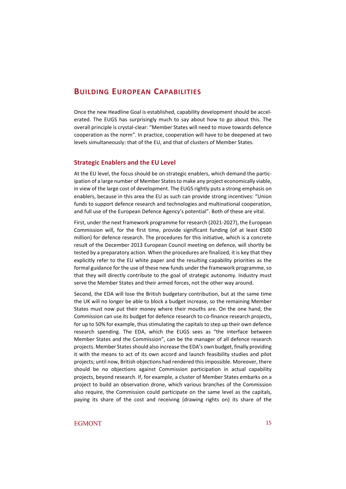### <span id="page-16-0"></span>**BUILDING EUROPEAN CAPABILITIES**

Once the new Headline Goal is established, capability development should be accelerated. The EUGS has surprisingly much to say about how to go about this. The overall principle is crystal-clear: "Member States will need to move towards defence cooperation as the norm". In practice, cooperation will have to be deepened at two levels simultaneously: that of the EU, and that of clusters of Member States.

### <span id="page-16-1"></span>**Strategic Enablers and the EU Level**

At the EU level, the focus should be on strategic enablers, which demand the participation of a large number of Member States to make any project economically viable, in view of the large cost of development. The EUGS rightly puts a strong emphasis on enablers, because in this area the EU as such can provide strong incentives: "Union funds to support defence research and technologies and multinational cooperation, and full use of the European Defence Agency's potential". Both of these are vital.

First, under the next framework programme for research (2021-2027), the European Commission will, for the first time, provide significant funding (of at least €500 million) for defence research. The procedures for this initiative, which is a concrete result of the December 2013 European Council meeting on defence, will shortly be tested by a preparatory action. When the procedures are finalized, it is key that they explicitly refer to the EU white paper and the resulting capability priorities as the formal guidance for the use of these new funds under the framework programme, so that they will directly contribute to the goal of strategic autonomy. Industry must serve the Member States and their armed forces, not the other way around.

Second, the EDA will lose the British budgetary contribution, but at the same time the UK will no longer be able to block a budget increase, so the remaining Member States must now put their money where their mouths are. On the one hand, the Commission can use its budget for defence research to co-finance research projects, for up to 50% for example, thus stimulating the capitals to step up their own defence research spending. The EDA, which the EUGS sees as "the interface between Member States and the Commission", can be the manager of all defence research projects. Member States should also increase the EDA's own budget, finally providing it with the means to act of its own accord and launch feasibility studies and pilot projects; until now, British objections had rendered this impossible. Moreover, there should be no objections against Commission participation in actual capability projects, beyond research. If, for example, a cluster of Member States embarks on a project to build an observation drone, which various branches of the Commission also require, the Commission could participate on the same level as the capitals, paying its share of the cost and receiving (drawing rights on) its share of the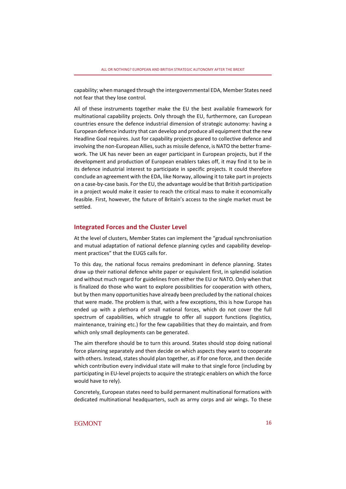capability; when managed through the intergovernmental EDA, Member States need not fear that they lose control.

All of these instruments together make the EU the best available framework for multinational capability projects. Only through the EU, furthermore, can European countries ensure the defence industrial dimension of strategic autonomy: having a European defence industry that can develop and produce all equipment that the new Headline Goal requires. Just for capability projects geared to collective defence and involving the non-European Allies, such as missile defence, is NATO the better framework. The UK has never been an eager participant in European projects, but if the development and production of European enablers takes off, it may find it to be in its defence industrial interest to participate in specific projects. It could therefore conclude an agreement with the EDA, like Norway, allowing it to take part in projects on a case-by-case basis. For the EU, the advantage would be that British participation in a project would make it easier to reach the critical mass to make it economically feasible. First, however, the future of Britain's access to the single market must be settled.

### <span id="page-17-0"></span>**Integrated Forces and the Cluster Level**

At the level of clusters, Member States can implement the "gradual synchronisation and mutual adaptation of national defence planning cycles and capability development practices" that the EUGS calls for.

To this day, the national focus remains predominant in defence planning. States draw up their national defence white paper or equivalent first, in splendid isolation and without much regard for guidelines from either the EU or NATO. Only when that is finalized do those who want to explore possibilities for cooperation with others, but by then many opportunities have already been precluded by the national choices that were made. The problem is that, with a few exceptions, this is how Europe has ended up with a plethora of small national forces, which do not cover the full spectrum of capabilities, which struggle to offer all support functions (logistics, maintenance, training etc.) for the few capabilities that they do maintain, and from which only small deployments can be generated.

The aim therefore should be to turn this around. States should stop doing national force planning separately and then decide on which aspects they want to cooperate with others. Instead, states should plan together, as if for one force, and then decide which contribution every individual state will make to that single force (including by participating in EU-level projects to acquire the strategic enablers on which the force would have to rely).

Concretely, European states need to build permanent multinational formations with dedicated multinational headquarters, such as army corps and air wings. To these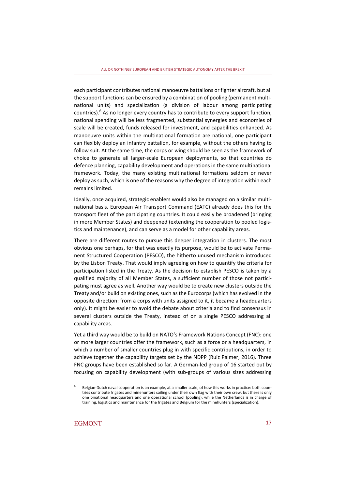each participant contributes national manoeuvre battalions or fighter aircraft, but all the support functions can be ensured by a combination of pooling (permanent multinational units) and specialization (a division of labour among participating countries).<sup>6</sup> As no longer every country has to contribute to every support function, national spending will be less fragmented, substantial synergies and economies of scale will be created, funds released for investment, and capabilities enhanced. As manoeuvre units within the multinational formation are national, one participant can flexibly deploy an infantry battalion, for example, without the others having to follow suit. At the same time, the corps or wing should be seen as the framework of choice to generate all larger-scale European deployments, so that countries do defence planning, capability development and operations in the same multinational framework. Today, the many existing multinational formations seldom or never deploy as such, which is one of the reasons why the degree of integration within each remains limited.

Ideally, once acquired, strategic enablers would also be managed on a similar multinational basis. European Air Transport Command (EATC) already does this for the transport fleet of the participating countries. It could easily be broadened (bringing in more Member States) and deepened (extending the cooperation to pooled logistics and maintenance), and can serve as a model for other capability areas.

There are different routes to pursue this deeper integration in clusters. The most obvious one perhaps, for that was exactly its purpose, would be to activate Permanent Structured Cooperation (PESCO), the hitherto unused mechanism introduced by the Lisbon Treaty. That would imply agreeing on how to quantify the criteria for participation listed in the Treaty. As the decision to establish PESCO is taken by a qualified majority of all Member States, a sufficient number of those not participating must agree as well. Another way would be to create new clusters outside the Treaty and/or build on existing ones, such as the Eurocorps (which has evolved in the opposite direction: from a corps with units assigned to it, it became a headquarters only). It might be easier to avoid the debate about criteria and to find consensus in several clusters outside the Treaty, instead of on a single PESCO addressing all capability areas.

Yet a third way would be to build on NATO's Framework Nations Concept (FNC): one or more larger countries offer the framework, such as a force or a headquarters, in which a number of smaller countries plug in with specific contributions, in order to achieve together the capability targets set by the NDPP (Ruiz Palmer, 2016). Three FNC groups have been established so far. A German-led group of 16 started out by focusing on capability development (with sub-groups of various sizes addressing

 $6$  Belgian-Dutch naval cooperation is an example, at a smaller scale, of how this works in practice: both countries contribute frigates and minehunters sailing under their own flag with their own crew, but there is only one binational headquarters and one operational school (pooling), while the Netherlands is in charge of training, logistics and maintenance for the frigates and Belgium for the minehunters (specialization).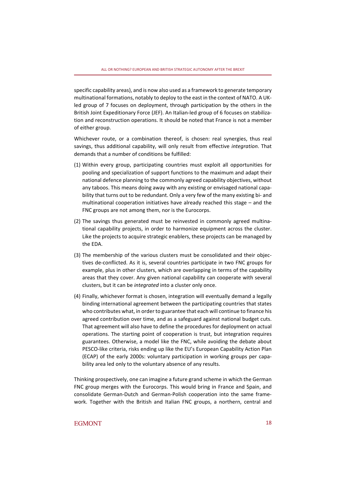specific capability areas), and is now also used as a framework to generate temporary multinational formations, notably to deploy to the east in the context of NATO. A UKled group of 7 focuses on deployment, through participation by the others in the British Joint Expeditionary Force (JEF). An Italian-led group of 6 focuses on stabilization and reconstruction operations. It should be noted that France is not a member of either group.

Whichever route, or a combination thereof, is chosen: real synergies, thus real savings, thus additional capability, will only result from effective *integration*. That demands that a number of conditions be fulfilled:

- (1) Within every group, participating countries must exploit all opportunities for pooling and specialization of support functions to the maximum and adapt their national defence planning to the commonly agreed capability objectives, without any taboos. This means doing away with any existing or envisaged national capability that turns out to be redundant. Only a very few of the many existing bi- and multinational cooperation initiatives have already reached this stage – and the FNC groups are not among them, nor is the Eurocorps.
- (2) The savings thus generated must be reinvested in commonly agreed multinational capability projects, in order to harmonize equipment across the cluster. Like the projects to acquire strategic enablers, these projects can be managed by the EDA.
- (3) The membership of the various clusters must be consolidated and their objectives de-conflicted. As it is, several countries participate in two FNC groups for example, plus in other clusters, which are overlapping in terms of the capability areas that they cover. Any given national capability can cooperate with several clusters, but it can be *integrated* into a cluster only once.
- (4) Finally, whichever format is chosen, integration will eventually demand a legally binding international agreement between the participating countries that states who contributes what, in order to guarantee that each will continue to finance his agreed contribution over time, and as a safeguard against national budget cuts. That agreement will also have to define the procedures for deployment on actual operations. The starting point of cooperation is trust, but integration requires guarantees. Otherwise, a model like the FNC, while avoiding the debate about PESCO-like criteria, risks ending up like the EU's European Capability Action Plan (ECAP) of the early 2000s: voluntary participation in working groups per capability area led only to the voluntary absence of any results.

Thinking prospectively, one can imagine a future grand scheme in which the German FNC group merges with the Eurocorps. This would bring in France and Spain, and consolidate German-Dutch and German-Polish cooperation into the same framework. Together with the British and Italian FNC groups, a northern, central and

### **EGMONT**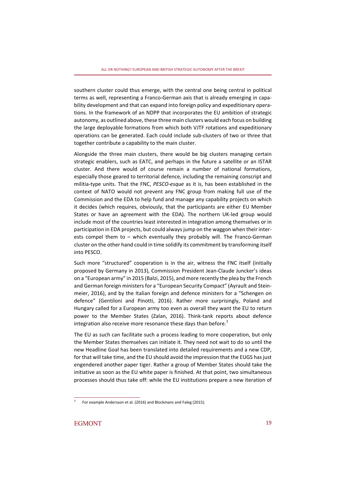southern cluster could thus emerge, with the central one being central in political terms as well, representing a Franco-German axis that is already emerging in capability development and that can expand into foreign policy and expeditionary operations. In the framework of an NDPP that incorporates the EU ambition of strategic autonomy, as outlined above, these three main clusters would each focus on building the large deployable formations from which both VJTF rotations and expeditionary operations can be generated. Each could include sub-clusters of two or three that together contribute a capability to the main cluster.

Alongside the three main clusters, there would be big clusters managing certain strategic enablers, such as EATC, and perhaps in the future a satellite or an ISTAR cluster. And there would of course remain a number of national formations, especially those geared to territorial defence, including the remaining conscript and militia-type units. That the FNC, *PESCO-esque* as it is, has been established in the context of NATO would not prevent any FNC group from making full use of the Commission and the EDA to help fund and manage any capability projects on which it decides (which requires, obviously, that the participants are either EU Member States or have an agreement with the EDA). The northern UK-led group would include most of the countries least interested in integration among themselves or in participation in EDA projects, but could always jump on the waggon when their interests compel them to – which eventually they probably will. The Franco-German cluster on the other hand could in time solidify its commitment by transforming itself into PESCO.

Such more "structured" cooperation is in the air, witness the FNC itself (initially proposed by Germany in 2013), Commission President Jean-Claude Juncker's ideas on a "European army" in 2015 (Balzi, 2015), and more recently the plea by the French and German foreign ministers for a "European Security Compact" (Ayrault and Steinmeier, 2016), and by the Italian foreign and defence ministers for a "Schengen on defence" (Gentiloni and Pinotti, 2016). Rather more surprisingly, Poland and Hungary called for a European army too even as overall they want the EU to return power to the Member States (Zalan, 2016). Think-tank reports about defence integration also receive more resonance these days than before.<sup>7</sup>

The EU as such can facilitate such a process leading to more cooperation, but only the Member States themselves can initiate it. They need not wait to do so until the new Headline Goal has been translated into detailed requirements and a new CDP, for that will take time, and the EU should avoid the impression that the EUGS has just engendered another paper tiger. Rather a group of Member States should take the initiative as soon as the EU white paper is finished. At that point, two simultaneous processes should thus take off: while the EU institutions prepare a new iteration of

<sup>&</sup>lt;sup>7</sup> For example Andersson et al. (2016) and Blockmans and Faleg (2015).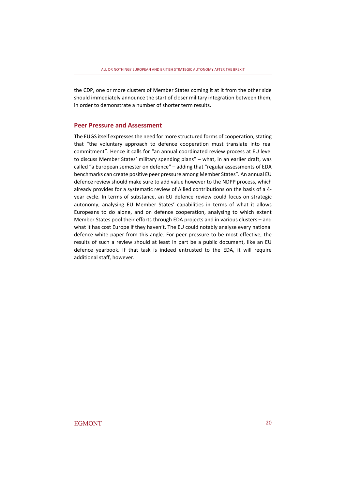the CDP, one or more clusters of Member States coming it at it from the other side should immediately announce the start of closer military integration between them, in order to demonstrate a number of shorter term results.

#### <span id="page-21-0"></span>**Peer Pressure and Assessment**

The EUGS itself expresses the need for more structured forms of cooperation, stating that "the voluntary approach to defence cooperation must translate into real commitment". Hence it calls for "an annual coordinated review process at EU level to discuss Member States' military spending plans" – what, in an earlier draft, was called "a European semester on defence" – adding that "regular assessments of EDA benchmarks can create positive peer pressure among Member States". An annual EU defence review should make sure to add value however to the NDPP process, which already provides for a systematic review of Allied contributions on the basis of a 4 year cycle. In terms of substance, an EU defence review could focus on strategic autonomy, analysing EU Member States' capabilities in terms of what it allows Europeans to do alone, and on defence cooperation, analysing to which extent Member States pool their efforts through EDA projects and in various clusters – and what it has cost Europe if they haven't. The EU could notably analyse every national defence white paper from this angle. For peer pressure to be most effective, the results of such a review should at least in part be a public document, like an EU defence yearbook. If that task is indeed entrusted to the EDA, it will require additional staff, however.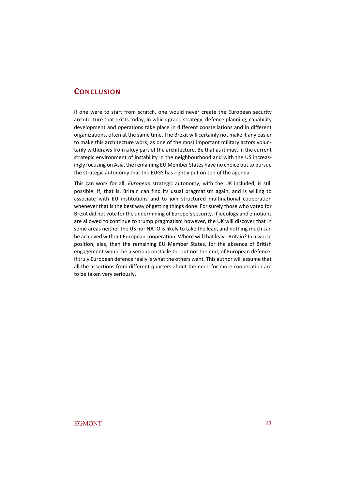### <span id="page-22-0"></span>**CONCLUSION**

If one were to start from scratch, one would never create the European security architecture that exists today, in which grand strategy, defence planning, capability development and operations take place in different constellations and in different organizations, often at the same time. The Brexit will certainly not make it any easier to make this architecture work, as one of the most important military actors voluntarily withdraws from a key part of the architecture. Be that as it may, in the current strategic environment of instability in the neighbourhood and with the US increasingly focusing on Asia, the remaining EU Member States have no choice but to pursue the strategic autonomy that the EUGS has rightly put on top of the agenda.

This can work for all: *European* strategic autonomy, with the UK included, is still possible. If, that is, Britain can find its usual pragmatism again, and is willing to associate with EU institutions and to join structured multinational cooperation whenever that is the best way of getting things done. For surely those who voted for Brexit did not vote for the undermining of Europe's security. If ideology and emotions are allowed to continue to trump pragmatism however, the UK will discover that in some areas neither the US nor NATO is likely to take the lead, and nothing much can be achieved without European cooperation. Where will that leave Britain? In a worse position, alas, than the remaining EU Member States, for the absence of British engagement would be a serious obstacle to, but not the end, of European defence. If truly European defence really is what the others want. This author will assume that all the assertions from different quarters about the need for more cooperation are to be taken very seriously.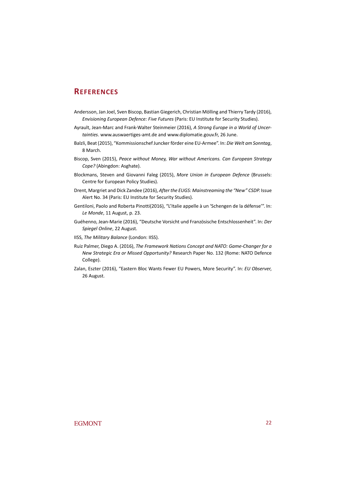### <span id="page-23-0"></span>**REFERENCES**

- Andersson, Jan Joel, Sven Biscop, Bastian Giegerich, Christian Mölling and Thierry Tardy (2016), *Envisioning European Defence: Five Futures* (Paris: EU Institute for Security Studies).
- Ayrault, Jean-Marc and Frank-Walter Steinmeier (2016), *A Strong Europe in a World of Uncertainties*. www.auswaertiges-amt.de and www.diplomatie.gouv.fr, 26 June.
- Balzli, Beat (2015), "Kommissionschef Juncker förder eine EU-Armee". In: *Die Welt am Sonntag*, 8 March.
- Biscop, Sven (2015), *Peace without Money, War without Americans. Can European Strategy Cope?* (Abingdon: Asghate).
- Blockmans, Steven and Giovanni Faleg (2015), *More Union in European Defence* (Brussels: Centre for European Policy Studies).
- Drent, Margriet and Dick Zandee (2016), *After the EUGS: Mainstreaming the "New" CSDP*. Issue Alert No. 34 (Paris: EU Institute for Security Studies).
- Gentiloni, Paolo and Roberta Pinotti(2016), "L'Italie appelle à un 'Schengen de la défense'". In: *Le Monde*, 11 August, p. 23.
- Guéhenno, Jean-Marie (2016), "Deutsche Vorsicht und Französische Entschlossenheit". In: *Der Spiegel Online*, 22 August.
- IISS, *The Military Balance* (London: IISS).
- Ruiz Palmer, Diego A. (2016), *The Framework Nations Concept and NATO: Game-Changer for a New Strategic Era or Missed Opportunity?* Research Paper No. 132 (Rome: NATO Defence College).
- Zalan, Eszter (2016), "Eastern Bloc Wants Fewer EU Powers, More Security". In: *EU Observer*, 26 August.